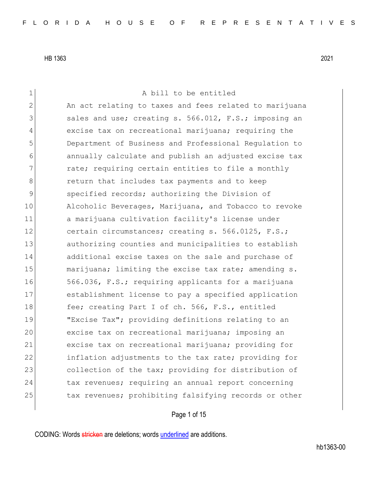1 a bill to be entitled 2 An act relating to taxes and fees related to marijuana 3 3 sales and use; creating s. 566.012, F.S.; imposing an 4 excise tax on recreational marijuana; requiring the 5 Department of Business and Professional Regulation to 6 annually calculate and publish an adjusted excise tax 7 **rate;** requiring certain entities to file a monthly 8 **8** return that includes tax payments and to keep 9 specified records; authorizing the Division of 10 Alcoholic Beverages, Marijuana, and Tobacco to revoke 11 a marijuana cultivation facility's license under 12 certain circumstances; creating s. 566.0125, F.S.; 13 authorizing counties and municipalities to establish 14 additional excise taxes on the sale and purchase of 15 marijuana; limiting the excise tax rate; amending s. 16 566.036, F.S.; requiring applicants for a marijuana 17 establishment license to pay a specified application 18 fee; creating Part I of ch. 566, F.S., entitled 19 "Excise Tax"; providing definitions relating to an 20 excise tax on recreational marijuana; imposing an 21 excise tax on recreational marijuana; providing for 22 inflation adjustments to the tax rate; providing for 23 collection of the tax; providing for distribution of 24 tax revenues; requiring an annual report concerning 25 tax revenues; prohibiting falsifying records or other

## Page 1 of 15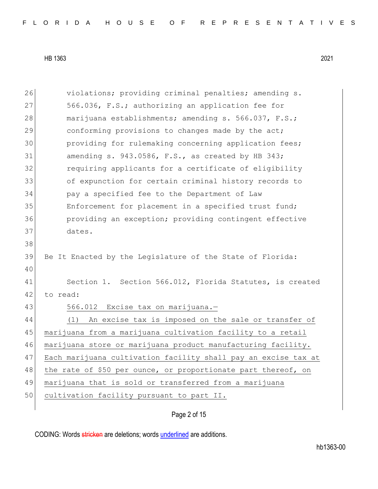| 26 | violations; providing criminal penalties; amending s.          |
|----|----------------------------------------------------------------|
| 27 | 566.036, F.S.; authorizing an application fee for              |
| 28 | marijuana establishments; amending s. 566.037, F.S.;           |
| 29 | conforming provisions to changes made by the act;              |
| 30 | providing for rulemaking concerning application fees;          |
| 31 | amending s. 943.0586, F.S., as created by HB 343;              |
| 32 | requiring applicants for a certificate of eligibility          |
| 33 | of expunction for certain criminal history records to          |
| 34 | pay a specified fee to the Department of Law                   |
| 35 | Enforcement for placement in a specified trust fund;           |
| 36 | providing an exception; providing contingent effective         |
| 37 | dates.                                                         |
| 38 |                                                                |
| 39 | Be It Enacted by the Legislature of the State of Florida:      |
| 40 |                                                                |
| 41 | Section 1. Section 566.012, Florida Statutes, is created       |
| 42 | to read:                                                       |
| 43 | 566.012 Excise tax on marijuana.-                              |
| 44 | An excise tax is imposed on the sale or transfer of<br>(1)     |
| 45 | marijuana from a marijuana cultivation facility to a retail    |
| 46 | marijuana store or marijuana product manufacturing facility.   |
| 47 | Each marijuana cultivation facility shall pay an excise tax at |
| 48 | the rate of \$50 per ounce, or proportionate part thereof, on  |
| 49 | marijuana that is sold or transferred from a marijuana         |
| 50 | cultivation facility pursuant to part II.                      |
|    |                                                                |

Page 2 of 15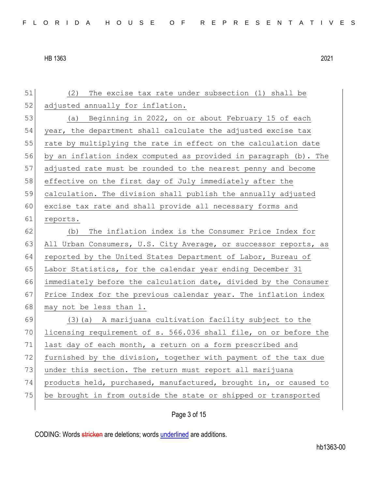51 (2) The excise tax rate under subsection (1) shall be 52 adjusted annually for inflation. 53 (a) Beginning in 2022, on or about February 15 of each 54 year, the department shall calculate the adjusted excise tax 55 rate by multiplying the rate in effect on the calculation date 56 by an inflation index computed as provided in paragraph (b). The 57 adjusted rate must be rounded to the nearest penny and become 58 effective on the first day of July immediately after the 59 calculation. The division shall publish the annually adjusted 60 excise tax rate and shall provide all necessary forms and 61 reports. 62 (b) The inflation index is the Consumer Price Index for 63 All Urban Consumers, U.S. City Average, or successor reports, as 64 reported by the United States Department of Labor, Bureau of 65 Labor Statistics, for the calendar year ending December 31 66 immediately before the calculation date, divided by the Consumer 67 Price Index for the previous calendar year. The inflation index 68 may not be less than 1. 69  $(3)$  (a) A marijuana cultivation facility subject to the 70 licensing requirement of s. 566.036 shall file, on or before the 71 last day of each month, a return on a form prescribed and 72 furnished by the division, together with payment of the tax due 73 under this section. The return must report all marijuana 74 products held, purchased, manufactured, brought in, or caused to 75 be brought in from outside the state or shipped or transported

Page 3 of 15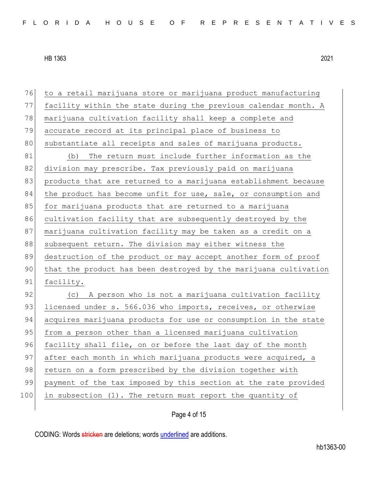76 to a retail marijuana store or marijuana product manufacturing 77 facility within the state during the previous calendar month. A 78 marijuana cultivation facility shall keep a complete and 79 accurate record at its principal place of business to 80 substantiate all receipts and sales of marijuana products. 81 (b) The return must include further information as the 82 division may prescribe. Tax previously paid on marijuana 83 products that are returned to a marijuana establishment because 84 the product has become unfit for use, sale, or consumption and 85 for marijuana products that are returned to a marijuana 86 cultivation facility that are subsequently destroyed by the 87 marijuana cultivation facility may be taken as a credit on a 88 subsequent return. The division may either witness the 89 destruction of the product or may accept another form of proof 90 that the product has been destroyed by the marijuana cultivation 91 facility. 92 (c) A person who is not a marijuana cultivation facility 93 licensed under s. 566.036 who imports, receives, or otherwise 94 acquires marijuana products for use or consumption in the state 95 from a person other than a licensed marijuana cultivation 96 facility shall file, on or before the last day of the month 97 after each month in which marijuana products were acquired, a 98 return on a form prescribed by the division together with 99 payment of the tax imposed by this section at the rate provided 100 in subsection (1). The return must report the quantity of

Page 4 of 15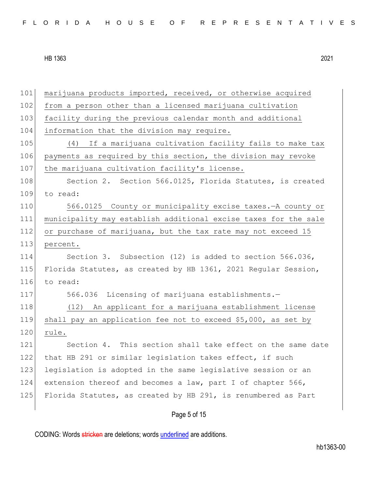| 101 | marijuana products imported, received, or otherwise acquired    |
|-----|-----------------------------------------------------------------|
| 102 | from a person other than a licensed marijuana cultivation       |
| 103 | facility during the previous calendar month and additional      |
| 104 | information that the division may require.                      |
| 105 | If a marijuana cultivation facility fails to make tax<br>(4)    |
| 106 | payments as required by this section, the division may revoke   |
| 107 | the marijuana cultivation facility's license.                   |
| 108 | Section 2. Section 566.0125, Florida Statutes, is created       |
| 109 | to read:                                                        |
| 110 | 566.0125 County or municipality excise taxes. - A county or     |
| 111 | municipality may establish additional excise taxes for the sale |
| 112 | or purchase of marijuana, but the tax rate may not exceed 15    |
| 113 | percent.                                                        |
| 114 | Section 3. Subsection (12) is added to section 566.036,         |
| 115 | Florida Statutes, as created by HB 1361, 2021 Regular Session,  |
| 116 | to read:                                                        |
| 117 | 566.036 Licensing of marijuana establishments.-                 |
| 118 | (12) An applicant for a marijuana establishment license         |
| 119 | shall pay an application fee not to exceed \$5,000, as set by   |
| 120 | rule.                                                           |
| 121 | Section 4. This section shall take effect on the same date      |
| 122 | that HB 291 or similar legislation takes effect, if such        |
| 123 | legislation is adopted in the same legislative session or an    |
| 124 | extension thereof and becomes a law, part I of chapter 566,     |
| 125 | Florida Statutes, as created by HB 291, is renumbered as Part   |
|     |                                                                 |

Page 5 of 15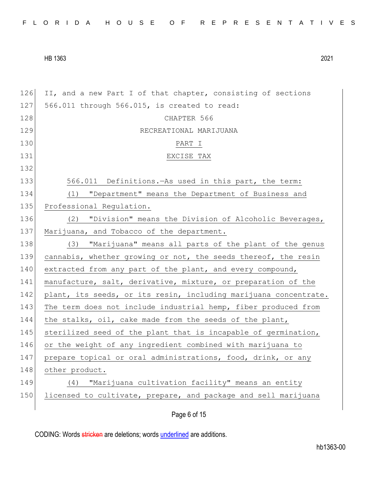| FLORIDA HOUSE OF REPRESENTATIVES |  |
|----------------------------------|--|
|----------------------------------|--|

126 II, and a new Part I of that chapter, consisting of sections 127 566.011 through 566.015, is created to read: 128 CHAPTER 566 129 RECREATIONAL MARIJUANA 130 PART I 131 EXCISE TAX 132 133 566.011 Definitions.—As used in this part, the term: 134 (1) "Department" means the Department of Business and 135 Professional Regulation. 136 (2) "Division" means the Division of Alcoholic Beverages, 137 Marijuana, and Tobacco of the department. 138 (3) "Marijuana" means all parts of the plant of the genus 139 cannabis, whether growing or not, the seeds thereof, the resin 140 extracted from any part of the plant, and every compound, 141 manufacture, salt, derivative, mixture, or preparation of the 142 plant, its seeds, or its resin, including marijuana concentrate. 143 The term does not include industrial hemp, fiber produced from 144 the stalks, oil, cake made from the seeds of the plant, 145 sterilized seed of the plant that is incapable of germination, 146 or the weight of any ingredient combined with marijuana to 147 prepare topical or oral administrations, food, drink, or any 148 other product. 149 (4) "Marijuana cultivation facility" means an entity 150 licensed to cultivate, prepare, and package and sell marijuana

Page 6 of 15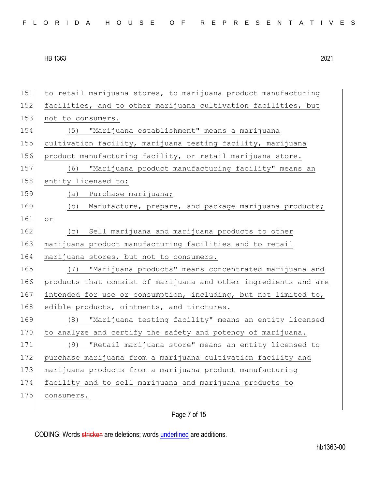151 to retail marijuana stores, to marijuana product manufacturing 152 facilities, and to other marijuana cultivation facilities, but 153 not to consumers. 154 (5) "Marijuana establishment" means a marijuana 155 cultivation facility, marijuana testing facility, marijuana 156 product manufacturing facility, or retail marijuana store. 157 (6) "Marijuana product manufacturing facility" means an 158 entity licensed to: 159 (a) Purchase marijuana; 160 (b) Manufacture, prepare, and package marijuana products; 161 or 162 (c) Sell marijuana and marijuana products to other 163 marijuana product manufacturing facilities and to retail 164 marijuana stores, but not to consumers. 165 (7) "Marijuana products" means concentrated marijuana and 166 products that consist of marijuana and other ingredients and are 167 intended for use or consumption, including, but not limited to, 168 edible products, ointments, and tinctures. 169 (8) "Marijuana testing facility" means an entity licensed  $170$  to analyze and certify the safety and potency of marijuana. 171 (9) "Retail marijuana store" means an entity licensed to 172 purchase marijuana from a marijuana cultivation facility and 173 marijuana products from a marijuana product manufacturing 174 facility and to sell marijuana and marijuana products to 175 consumers.

Page 7 of 15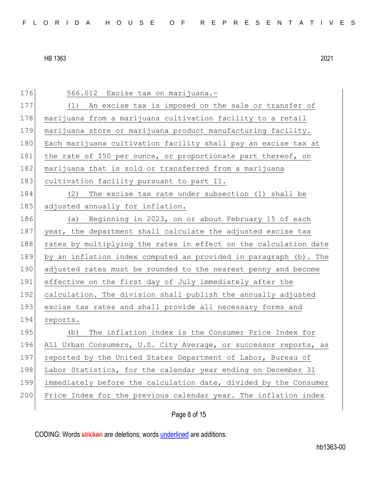176 566.012 Excise tax on marijuana.-177 (1) An excise tax is imposed on the sale or transfer of 178 | marijuana from a marijuana cultivation facility to a retail 179 marijuana store or marijuana product manufacturing facility. 180 Each marijuana cultivation facility shall pay an excise tax at 181 the rate of \$50 per ounce, or proportionate part thereof, on 182 marijuana that is sold or transferred from a marijuana 183 cultivation facility pursuant to part II. 184 (2) The excise tax rate under subsection (1) shall be 185 adjusted annually for inflation. 186 (a) Beginning in 2023, on or about February 15 of each 187 year, the department shall calculate the adjusted excise tax 188 rates by multiplying the rates in effect on the calculation date 189 by an inflation index computed as provided in paragraph (b). The 190 adjusted rates must be rounded to the nearest penny and become 191 effective on the first day of July immediately after the 192 calculation. The division shall publish the annually adjusted 193 excise tax rates and shall provide all necessary forms and 194 reports. 195 (b) The inflation index is the Consumer Price Index for 196 All Urban Consumers, U.S. City Average, or successor reports, as 197 reported by the United States Department of Labor, Bureau of 198 Labor Statistics, for the calendar year ending on December 31 199 immediately before the calculation date, divided by the Consumer 200 Price Index for the previous calendar year. The inflation index

Page 8 of 15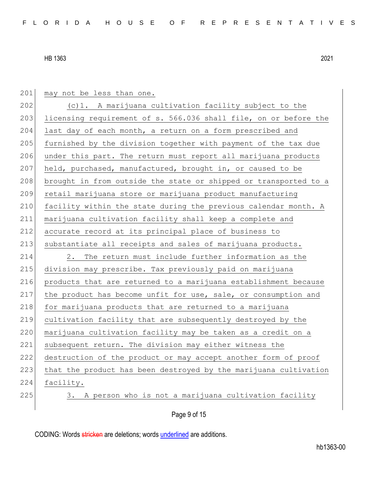201 may not be less than one.

202  $(c)$  1. A marijuana cultivation facility subject to the 203 licensing requirement of s. 566.036 shall file, on or before the 204 last day of each month, a return on a form prescribed and 205 furnished by the division together with payment of the tax due 206 under this part. The return must report all marijuana products 207 held, purchased, manufactured, brought in, or caused to be 208 brought in from outside the state or shipped or transported to a 209 retail marijuana store or marijuana product manufacturing 210 facility within the state during the previous calendar month. A 211 marijuana cultivation facility shall keep a complete and 212 accurate record at its principal place of business to 213 substantiate all receipts and sales of marijuana products. 214 2. The return must include further information as the 215 division may prescribe. Tax previously paid on marijuana 216 products that are returned to a marijuana establishment because 217 the product has become unfit for use, sale, or consumption and 218 for marijuana products that are returned to a marijuana 219 cultivation facility that are subsequently destroyed by the 220 | marijuana cultivation facility may be taken as a credit on a 221 subsequent return. The division may either witness the 222 destruction of the product or may accept another form of proof 223 that the product has been destroyed by the marijuana cultivation 224 facility. 225 3. A person who is not a marijuana cultivation facility

# Page 9 of 15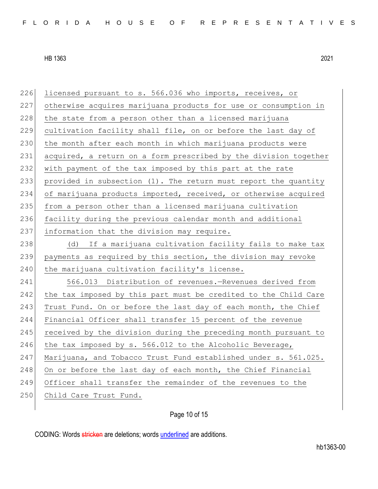226 licensed pursuant to s. 566.036 who imports, receives, or 227 otherwise acquires marijuana products for use or consumption in 228 the state from a person other than a licensed marijuana 229 cultivation facility shall file, on or before the last day of 230 the month after each month in which marijuana products were 231 acquired, a return on a form prescribed by the division together 232 with payment of the tax imposed by this part at the rate 233 provided in subsection (1). The return must report the quantity 234 of marijuana products imported, received, or otherwise acquired 235 from a person other than a licensed marijuana cultivation 236 facility during the previous calendar month and additional 237 information that the division may require. 238 (d) If a marijuana cultivation facility fails to make tax 239 payments as required by this section, the division may revoke 240 the marijuana cultivation facility's license. 241 566.013 Distribution of revenues.—Revenues derived from 242 the tax imposed by this part must be credited to the Child Care 243 Trust Fund. On or before the last day of each month, the Chief 244 Financial Officer shall transfer 15 percent of the revenue 245 received by the division during the preceding month pursuant to 246 the tax imposed by s. 566.012 to the Alcoholic Beverage, 247 Marijuana, and Tobacco Trust Fund established under s. 561.025. 248 On or before the last day of each month, the Chief Financial 249 Officer shall transfer the remainder of the revenues to the 250 Child Care Trust Fund.

Page 10 of 15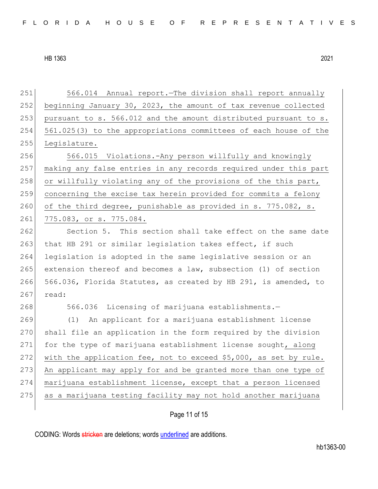251 566.014 Annual report.—The division shall report annually 252 beginning January 30, 2023, the amount of tax revenue collected 253 pursuant to s. 566.012 and the amount distributed pursuant to s. 254 561.025(3) to the appropriations committees of each house of the 255 Legislature. 256 566.015 Violations.-Any person willfully and knowingly 257 making any false entries in any records required under this part 258 or willfully violating any of the provisions of the this part, 259 concerning the excise tax herein provided for commits a felony 260 of the third degree, punishable as provided in s. 775.082, s. 261 775.083, or s. 775.084. 262 Section 5. This section shall take effect on the same date 263 that HB 291 or similar legislation takes effect, if such 264 legislation is adopted in the same legislative session or an 265 extension thereof and becomes a law, subsection (1) of section 266 566.036, Florida Statutes, as created by HB 291, is amended, to  $267$  read: 268 566.036 Licensing of marijuana establishments. 269 (1) An applicant for a marijuana establishment license 270 shall file an application in the form required by the division 271 for the type of marijuana establishment license sought, along 272 with the application fee, not to exceed  $$5,000$ , as set by rule. 273 An applicant may apply for and be granted more than one type of 274 marijuana establishment license, except that a person licensed 275 as a marijuana testing facility may not hold another marijuana

## Page 11 of 15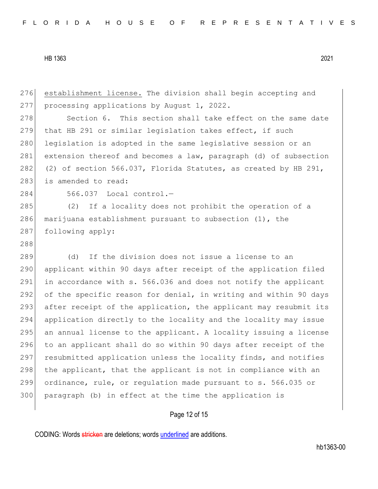276 establishment license. The division shall begin accepting and 277 processing applications by August 1, 2022. 278 Section 6. This section shall take effect on the same date 279 that HB 291 or similar legislation takes effect, if such 280 legislation is adopted in the same legislative session or an 281 extension thereof and becomes a law, paragraph (d) of subsection 282 (2) of section 566.037, Florida Statutes, as created by HB 291, 283 is amended to read: 284 566.037 Local control.-285 (2) If a locality does not prohibit the operation of a 286 marijuana establishment pursuant to subsection (1), the 287 following apply: 288 289 (d) If the division does not issue a license to an 290 applicant within 90 days after receipt of the application filed 291 in accordance with s. 566.036 and does not notify the applicant 292 of the specific reason for denial, in writing and within 90 days 293 after receipt of the application, the applicant may resubmit its 294 application directly to the locality and the locality may issue 295 an annual license to the applicant. A locality issuing a license 296 to an applicant shall do so within 90 days after receipt of the 297 resubmitted application unless the locality finds, and notifies 298 the applicant, that the applicant is not in compliance with an 299 ordinance, rule, or regulation made pursuant to s. 566.035 or 300 paragraph (b) in effect at the time the application is

### Page 12 of 15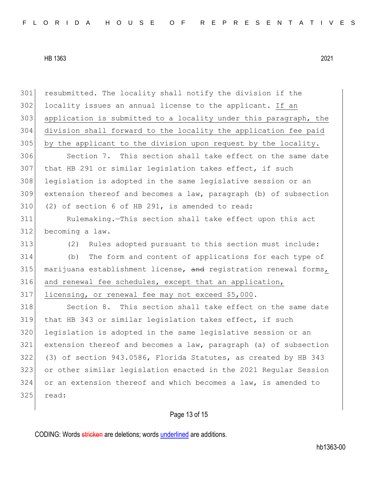resubmitted. The locality shall notify the division if the 302 locality issues an annual license to the applicant. If an application is submitted to a locality under this paragraph, the division shall forward to the locality the application fee paid by the applicant to the division upon request by the locality. 306 Section 7. This section shall take effect on the same date that HB 291 or similar legislation takes effect, if such 308 legislation is adopted in the same legislative session or an extension thereof and becomes a law, paragraph (b) of subsection (2) of section 6 of HB 291, is amended to read: Rulemaking.—This section shall take effect upon this act becoming a law. (2) Rules adopted pursuant to this section must include: (b) The form and content of applications for each type of 315 marijuana establishment license, and registration renewal forms, and renewal fee schedules, except that an application, licensing, or renewal fee may not exceed \$5,000. 318 Section 8. This section shall take effect on the same date that HB 343 or similar legislation takes effect, if such legislation is adopted in the same legislative session or an extension thereof and becomes a law, paragraph (a) of subsection (3) of section 943.0586, Florida Statutes, as created by HB 343 or other similar legislation enacted in the 2021 Regular Session or an extension thereof and which becomes a law, is amended to read:

Page 13 of 15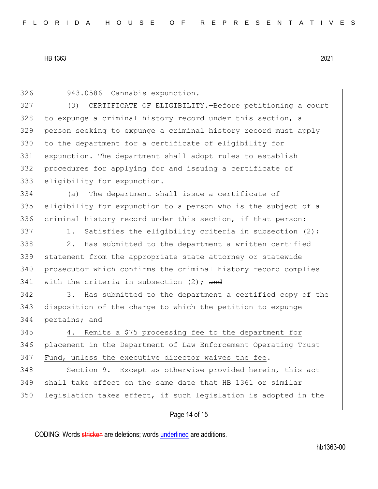326 943.0586 Cannabis expunction.—

 (3) CERTIFICATE OF ELIGIBILITY.—Before petitioning a court to expunge a criminal history record under this section, a person seeking to expunge a criminal history record must apply 330 to the department for a certificate of eligibility for expunction. The department shall adopt rules to establish procedures for applying for and issuing a certificate of eligibility for expunction.

334 (a) The department shall issue a certificate of 335 eligibility for expunction to a person who is the subject of a 336 criminal history record under this section, if that person:

337 1. Satisfies the eligibility criteria in subsection  $(2)$ ;

 2. Has submitted to the department a written certified statement from the appropriate state attorney or statewide prosecutor which confirms the criminal history record complies 341 with the criteria in subsection  $(2)$ ; and

342 3. Has submitted to the department a certified copy of the 343 disposition of the charge to which the petition to expunge 344 pertains; and

345 4. Remits a \$75 processing fee to the department for 346 placement in the Department of Law Enforcement Operating Trust 347 Fund, unless the executive director waives the fee.

348 Section 9. Except as otherwise provided herein, this act 349 shall take effect on the same date that HB 1361 or similar  $350$  legislation takes effect, if such legislation is adopted in the

### Page 14 of 15